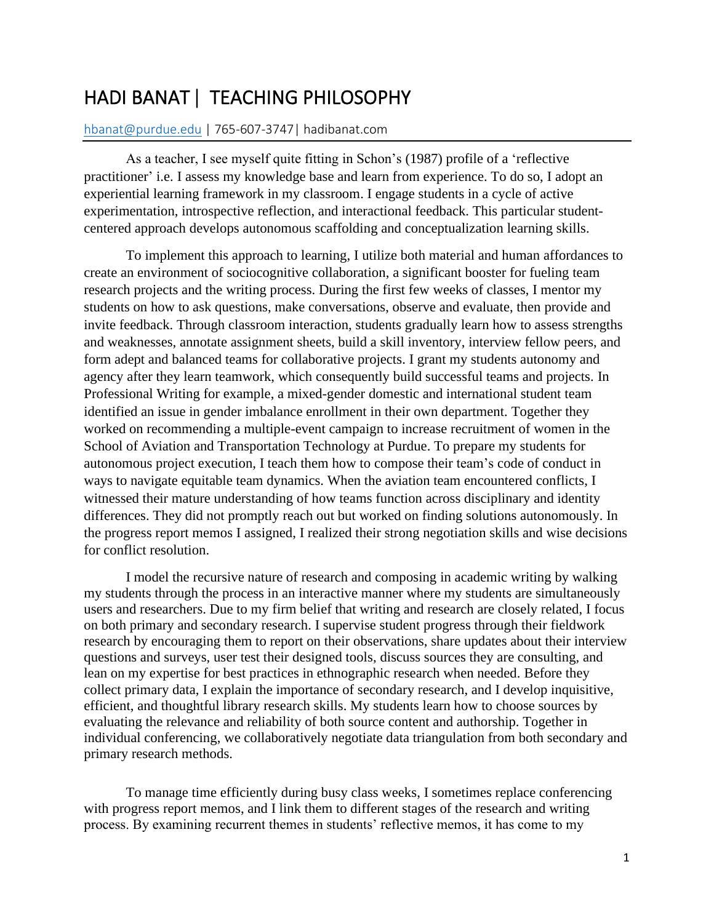## HADI BANAT **|** TEACHING PHILOSOPHY

## [hbanat@purdue.edu](mailto:hbanat@purdue.edu) | 765-607-3747| hadibanat.com

As a teacher, I see myself quite fitting in Schon's (1987) profile of a 'reflective practitioner' i.e. I assess my knowledge base and learn from experience. To do so, I adopt an experiential learning framework in my classroom. I engage students in a cycle of active experimentation, introspective reflection, and interactional feedback. This particular studentcentered approach develops autonomous scaffolding and conceptualization learning skills.

To implement this approach to learning, I utilize both material and human affordances to create an environment of sociocognitive collaboration, a significant booster for fueling team research projects and the writing process. During the first few weeks of classes, I mentor my students on how to ask questions, make conversations, observe and evaluate, then provide and invite feedback. Through classroom interaction, students gradually learn how to assess strengths and weaknesses, annotate assignment sheets, build a skill inventory, interview fellow peers, and form adept and balanced teams for collaborative projects. I grant my students autonomy and agency after they learn teamwork, which consequently build successful teams and projects. In Professional Writing for example, a mixed-gender domestic and international student team identified an issue in gender imbalance enrollment in their own department. Together they worked on recommending a multiple-event campaign to increase recruitment of women in the School of Aviation and Transportation Technology at Purdue. To prepare my students for autonomous project execution, I teach them how to compose their team's code of conduct in ways to navigate equitable team dynamics. When the aviation team encountered conflicts, I witnessed their mature understanding of how teams function across disciplinary and identity differences. They did not promptly reach out but worked on finding solutions autonomously. In the progress report memos I assigned, I realized their strong negotiation skills and wise decisions for conflict resolution.

I model the recursive nature of research and composing in academic writing by walking my students through the process in an interactive manner where my students are simultaneously users and researchers. Due to my firm belief that writing and research are closely related, I focus on both primary and secondary research. I supervise student progress through their fieldwork research by encouraging them to report on their observations, share updates about their interview questions and surveys, user test their designed tools, discuss sources they are consulting, and lean on my expertise for best practices in ethnographic research when needed. Before they collect primary data, I explain the importance of secondary research, and I develop inquisitive, efficient, and thoughtful library research skills. My students learn how to choose sources by evaluating the relevance and reliability of both source content and authorship. Together in individual conferencing, we collaboratively negotiate data triangulation from both secondary and primary research methods.

To manage time efficiently during busy class weeks, I sometimes replace conferencing with progress report memos, and I link them to different stages of the research and writing process. By examining recurrent themes in students' reflective memos, it has come to my